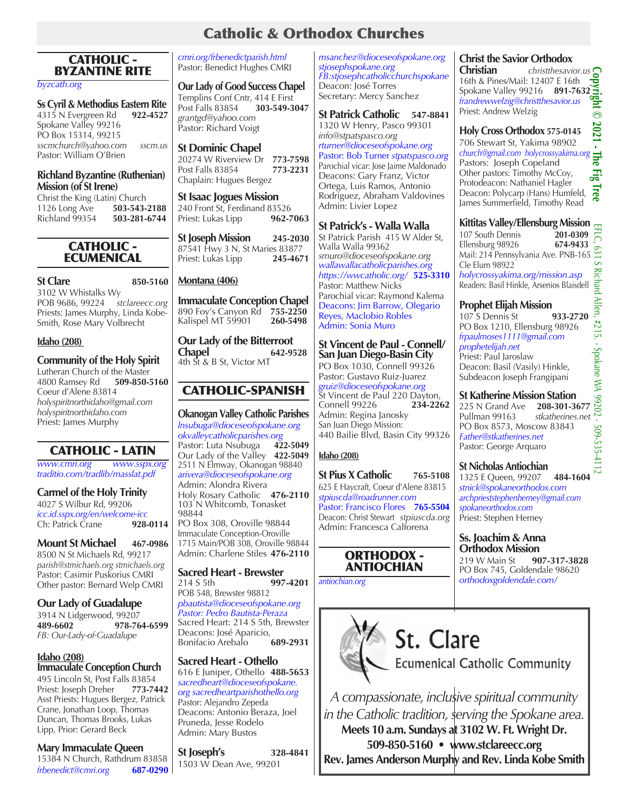### Catholic & Orthodox Churches

### CATHOLIC - BYZANTINE RITE

*byzcath.org* 

**Ss Cyril & Methodius Eastern Rite** 4315 N Evergreen Rd Spokane Valley 99216 PO Box 15314, 99215 *sscmchurch@yahoo.com sscm.us* Pastor: William O'Brien

#### **Richland Byzantine (Ruthenian) Mission (of St Irene)**

Christ the King (Latin) Church<br>1126 Long Ave 503-543-2188 1126 Long Ave<br>**Richland 99354** Richland 99354 **503-281-6744**

### CATHOLIC - ECUMENICAL

**St Clare 850-5160**

3102 W Whistalks Wy POB 9686, 99224 *stclareecc.org* Priests: James Murphy, Linda Kobe-Smith, Rose Mary Volbrecht

#### **Idaho (208)**

### **Community of the Holy Spirit**

Lutheran Church of the Master<br>4800 Ramsey Rd 509-850-5160 4800 Ramsey Rd Coeur d'Alene 83814 *holyspiritnorthidaho@gmail.com holyspiritnorthidaho.com* Priest: James Murphy

### CATHOLIC - LATIN

*www.cmri.org www.sspx.org traditio.com/tradlib/masslat.pdf*

### **Carmel of the Holy Trinity**

4027 S Wilbur Rd, 99206 *icc.id.sspx.org/en/welcome-icc* **Ch: Patrick Crane** 

### **Mount St Michael 467-0986**

8500 N St Michaels Rd, 99217 *parish@stmichaels.org stmichaels.org* Pastor: Casimir Puskorius CMRI Other pastor: Bernard Welp CMRI

**Our Lady of Guadalupe** 3914 N Lidgerwood, 99207<br>489-6602 978-76 **489-6602 978-764-6599** *FB: Our-Lady-of-Guadalupe*

#### **Idaho (208) Immaculate Conception Church**

495 Lincoln St, Post Falls 83854<br>Priest: Joseph Dreher 773-7442 Priest: Joseph Dreher Asst Priests: Hugues Bergez, Patrick Crane, Jonathan Loop, Thomas Duncan, Thomas Brooks, Lukas Lipp, Prior: Gerard Beck

### **Mary Immaculate Queen**

15384 N Church, Rathdrum 83858 *frbenedict@cmri.org* **687-0290** *cmri.org/frbenedictparish.html* Pastor: Benedict Hughes CMRI

**Our Lady of Good Success Chapel** Templins Conf Cntr, 414 E First<br>Post Falls 83854 303-549-3047 **Post Falls 83854** *grantgd@yahoo.com*  Pastor: Richard Voigt

**St Dominic Chapel** 20274 W Riverview Dr **773-7598** Post Falls 83854 **773-2231** Chaplain: Hugues Bergez

**St Isaac Jogues Mission**  240 Front St, Ferdinand 83526<br>Priest: Lukas Lipp **962-7063** Priest: Lukas Lipp

**St Joseph Mission 245-2030** 87541 Hwy 3 N, St Maries 83877<br>Priest: Lukas Lipp **245-4671** Priest: Lukas Lipp

### **Montana (406)**

**Immaculate Conception Chapel** 890 Foy's Canyon Rd **755-2250** Kalispel MT 59901

**Our Lady of the Bitterroot Chapel 642-9528** 4th St & B St, Victor MT

### CATHOLIC-SPANISH

**Okanogan Valley Catholic Parishes** *lnsubuga@dioceseofspokane.org okvalleycatholicparishes.org* Pastor: Luta Nsubuga Our Lady of the Valley **422-5049** 2511 N Elmway, Okanogan 98840 *arivera@dioceseofspokane.org* Admin: Alondra Rivera Holy Rosary Catholic **476-2110** 103 N Whitcomb, Tonasket 98844 PO Box 308, Oroville 98844 Immaculate Conception-Oroville

1715 Main/POB 308, Oroville 98844 Admin: Charlene Stiles **476-2110**

**Sacred Heart - Brewster**<br>214 S 5th 997 214 S 5th **997-4201** POB 548, Brewster 98812 *pbautista@dioceseofspokane.org Pastor: Pedro Bautista-Peraza* Sacred Heart: 214 S 5th, Brewster Deacons: José Aparicio,<br>Bonifacio Arebalo 689-2931 **Bonifacio Arebalo** 

**Sacred Heart - Othello** 616 E Juniper, Othello **488-5653** *sacredheart@dioceseofspokane. org sacredheartparishothello.org*  Pastor: Alejandro Zepeda Deacons: Antonio Beraza, Joel Pruneda, Jesse Rodelo Admin: Mary Bustos

**St Joseph's 328-4841** 1503 W Dean Ave, 99201

*msanchez@dioceseofspokane.org stjosephspokane.org FB:stjosephcatholicchurchspokane* Deacon: José Torres Secretary: Mercy Sanchez

**St Patrick Catholic 547-8841** 1320 W Henry, Pasco 99301 *info@stpatspasco.org rturner@dioceseofspokane.org*  Pastor: Bob Turner *stpatspasco.org* Parochial vicar: Jose Jaime Maldonado Deacons: Gary Franz, Victor Ortega, Luis Ramos, Antonio Rodriguez, Abraham Valdovines Admin: Livier Lopez

### **St Patrick's - Walla Walla**

St Patrick Parish 415 W Alder St, Walla Walla 99362 *smuro@dioceseofspokane.org wallawallacatholicparishes.org https://wwcatholic.org/* **525-3310** Pastor: Matthew Nicks Parochial vicar: Raymond Kalema Deacons: Jim Barrow, Olegario Reyes, Maclobio Robles Admin: Sonia Muro

### **St Vincent de Paul - Connell/ San Juan Diego-Basin City**

PO Box 1030, Connell 99326 Pastor: Gustavo Ruiz-Juarez *gruiz@dioceseofspokane.org* St Vincent de Paul 220 Dayton, Connell 99226 **234-2262**  Admin: Regina Janosky San Juan Diego Mission: 440 Bailie Blvd, Basin City 99326

### **Idaho (208)**

**St Pius X Catholic 765-5108** 625 E Haycraft, Coeur d'Alene 83815 *stpiuscda@roadrunner.com* Pastor: Francisco Flores **765-5504** Deacon: Christ Stewart *stpiuscda.org* Admin: Francesca Calforena

### ORTHODOX - ANTIOCHIAN

*antiochian.org*



# St. Clare

**Ecumenical Catholic Community** 

*A compassionate, inclusive spiritual community in the Catholic tradition, serving the Spokane area.* **Meets 10 a.m. Sundays at 3102 W. Ft. Wright Dr. 509-850-5160 • www.stclareecc.org Rev. James Anderson Murphy and Rev. Linda Kobe Smith**

**Christian** *christthesavior.us* 16th & Pines/Mail: 12407 E 16th Spokane Valley 99216 **891-7632** *frandrewwelzig@christthesavior.us* Priest: Andrew Welzig  $\odot$ 

#### 2021 **Holy Cross Orthodox 575-0145** 706 Stewart St, Yakima 98902 *church@gmail.com holycrossyakima.org* Pastors: Joseph Copeland Other pastors: Timothy McCoy, Protodeacon: Nathaniel Hagler

Deacon: Polycarp (Hans) Humfeld, James Summerfield, Timothy Read

## **Kittitas Valley/Ellensburg Mission**

107 South Dennis **201-0309** Ellensburg 98926 **674-9433** Mail: 214 Pennsylvania Ave. PNB-165 Cle Elum 98922 *holycrossyakima.org/mission.asp* Readers: Basil Hinkle, Arsenios Blaisdell

### **Prophet Elijah Mission**

107 S Dennis St **933-2720** PO Box 1210, Ellensburg 98926 *frpaulmoses1111@gmail.com prophetelijah.net* Priest: Paul Jaroslaw Deacon: Basil (Vasily) Hinkle, Subdeacon Joseph Frangipani

## **St Katherine Mission Station**<br>225 N Grand Ave 208-301-3677

225 N Grand Ave **208-301-3677** Pullman 99163 *stkatherines.net* PO Box 8573, Moscow 83843 509-535-4 *Father@stkatherines.net* Pastor: George Arquaro

### **St Nicholas Antiochian**

1325 E Queen, 99207 **484-1604** *stnick@spokaneorthodox.com archprieststephenherney@gmail.com spokaneorthodox.com* Priest: Stephen Herney

#### **Ss. Joachim & Anna Orthodox Mission**

219 W Main St **907-317-3828** PO Box 745, Goldendale 98620 *orthodoxgoldendale.com/*